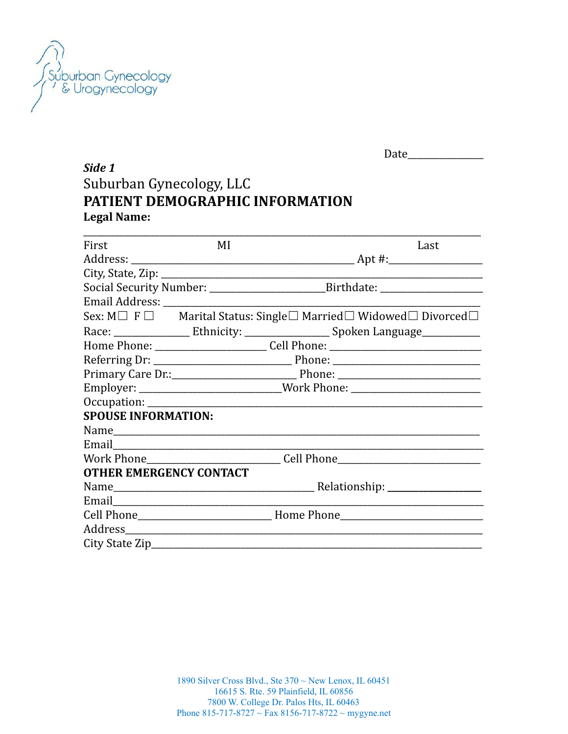

|                                                             |    | Date                                                                                 |      |  |  |
|-------------------------------------------------------------|----|--------------------------------------------------------------------------------------|------|--|--|
| Side 1                                                      |    |                                                                                      |      |  |  |
| Suburban Gynecology, LLC<br>PATIENT DEMOGRAPHIC INFORMATION |    |                                                                                      |      |  |  |
|                                                             |    |                                                                                      |      |  |  |
| First                                                       | MI |                                                                                      | Last |  |  |
|                                                             |    | $\Delta$ pt #:                                                                       |      |  |  |
|                                                             |    |                                                                                      |      |  |  |
|                                                             |    |                                                                                      |      |  |  |
| Email Address:                                              |    |                                                                                      |      |  |  |
|                                                             |    | Sex: $M \Box F \Box$ Marital Status: Single $\Box$ Married $\Box$ Widowed $\Box$ Div |      |  |  |
|                                                             |    |                                                                                      |      |  |  |

| 1'11 S t                       | $\mathbf{V}$                                                                      | Ladu                                                                                             |  |
|--------------------------------|-----------------------------------------------------------------------------------|--------------------------------------------------------------------------------------------------|--|
|                                |                                                                                   |                                                                                                  |  |
|                                |                                                                                   |                                                                                                  |  |
|                                |                                                                                   |                                                                                                  |  |
|                                |                                                                                   |                                                                                                  |  |
|                                |                                                                                   | Sex: $M \Box F \Box$ Marital Status: Single $\Box$ Married $\Box$ Widowed $\Box$ Divorced $\Box$ |  |
|                                |                                                                                   |                                                                                                  |  |
|                                | Home Phone: ____________________________Cell Phone: _____________________________ |                                                                                                  |  |
|                                |                                                                                   |                                                                                                  |  |
|                                |                                                                                   |                                                                                                  |  |
|                                | Employer: ___________________________Work Phone: _______________________________  |                                                                                                  |  |
|                                |                                                                                   |                                                                                                  |  |
| <b>SPOUSE INFORMATION:</b>     |                                                                                   |                                                                                                  |  |
|                                |                                                                                   |                                                                                                  |  |
|                                |                                                                                   |                                                                                                  |  |
|                                |                                                                                   | Work Phone___________________________________Cell Phone_________________________                 |  |
| <b>OTHER EMERGENCY CONTACT</b> |                                                                                   |                                                                                                  |  |
|                                |                                                                                   |                                                                                                  |  |
|                                |                                                                                   |                                                                                                  |  |
|                                |                                                                                   |                                                                                                  |  |
|                                |                                                                                   |                                                                                                  |  |
|                                |                                                                                   |                                                                                                  |  |